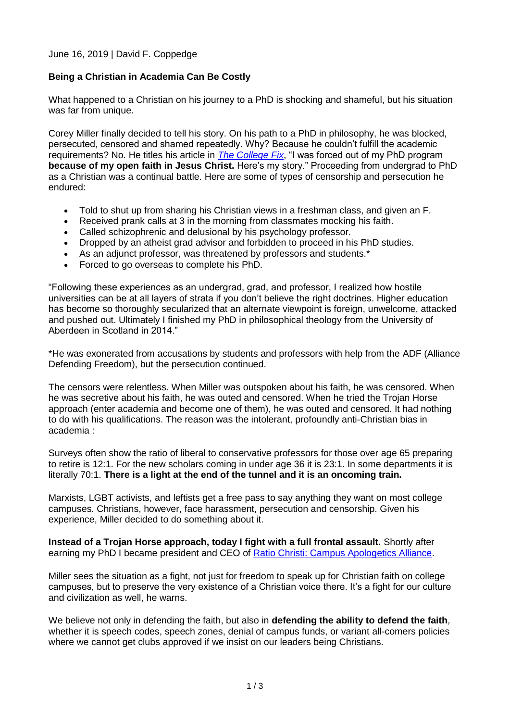## June 16, 2019 | David F. Coppedge

## **Being a Christian in Academia Can Be Costly**

What happened to a Christian on his journey to a PhD is shocking and shameful, but his situation was far from unique.

Corey Miller finally decided to tell his story. On his path to a PhD in philosophy, he was blocked, persecuted, censored and shamed repeatedly. Why? Because he couldn't fulfill the academic requirements? No. He titles his article in *[The College Fix](https://www.thecollegefix.com/i-was-forced-out-of-my-phd-program-because-of-my-open-faith-in-jesus-christ-heres-my-story/)*, "I was forced out of my PhD program **because of my open faith in Jesus Christ.** Here's my story." Proceeding from undergrad to PhD as a Christian was a continual battle. Here are some of types of censorship and persecution he endured:

- Told to shut up from sharing his Christian views in a freshman class, and given an F.
- Received prank calls at 3 in the morning from classmates mocking his faith.
- Called schizophrenic and delusional by his psychology professor.
- Dropped by an atheist grad advisor and forbidden to proceed in his PhD studies.
- As an adjunct professor, was threatened by professors and students.\*
- Forced to go overseas to complete his PhD.

"Following these experiences as an undergrad, grad, and professor, I realized how hostile universities can be at all layers of strata if you don't believe the right doctrines. Higher education has become so thoroughly secularized that an alternate viewpoint is foreign, unwelcome, attacked and pushed out. Ultimately I finished my PhD in philosophical theology from the University of Aberdeen in Scotland in 2014."

\*He was exonerated from accusations by students and professors with help from the ADF (Alliance Defending Freedom), but the persecution continued.

The censors were relentless. When Miller was outspoken about his faith, he was censored. When he was secretive about his faith, he was outed and censored. When he tried the Trojan Horse approach (enter academia and become one of them), he was outed and censored. It had nothing to do with his qualifications. The reason was the intolerant, profoundly anti-Christian bias in academia :

Surveys often show the ratio of liberal to conservative professors for those over age 65 preparing to retire is 12:1. For the new scholars coming in under age 36 it is 23:1. In some departments it is literally 70:1. **There is a light at the end of the tunnel and it is an oncoming train.**

Marxists, LGBT activists, and leftists get a free pass to say anything they want on most college campuses. Christians, however, face harassment, persecution and censorship. Given his experience, Miller decided to do something about it.

**Instead of a Trojan Horse approach, today I fight with a full frontal assault.** Shortly after earning my PhD I became president and CEO of [Ratio Christi: Campus Apologetics Alliance.](https://ratiochristi.org/)

Miller sees the situation as a fight, not just for freedom to speak up for Christian faith on college campuses, but to preserve the very existence of a Christian voice there. It's a fight for our culture and civilization as well, he warns.

We believe not only in defending the faith, but also in **defending the ability to defend the faith**, whether it is speech codes, speech zones, denial of campus funds, or variant all-comers policies where we cannot get clubs approved if we insist on our leaders being Christians.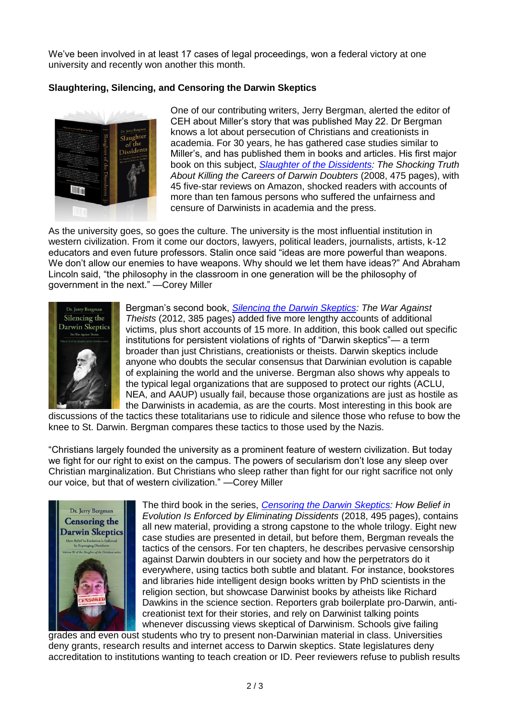We've been involved in at least 17 cases of legal proceedings, won a federal victory at one university and recently won another this month.

## **Slaughtering, Silencing, and Censoring the Darwin Skeptics**



One of our contributing writers, Jerry Bergman, alerted the editor of CEH about Miller's story that was published May 22. Dr Bergman knows a lot about persecution of Christians and creationists in academia. For 30 years, he has gathered case studies similar to Miller's, and has published them in books and articles. His first major book on this subject, *[Slaughter of the Dissidents:](https://www.amazon.com/Slaughter-Dissidents-Jerry-Bergman/dp/0981873405) The Shocking Truth About Killing the Careers of Darwin Doubters* (2008, 475 pages), with 45 five-star reviews on Amazon, shocked readers with accounts of more than ten famous persons who suffered the unfairness and censure of Darwinists in academia and the press.

As the university goes, so goes the culture. The university is the most influential institution in western civilization. From it come our doctors, lawyers, political leaders, journalists, artists, k-12 educators and even future professors. Stalin once said "ideas are more powerful than weapons. We don't allow our enemies to have weapons. Why should we let them have ideas?" And Abraham Lincoln said, "the philosophy in the classroom in one generation will be the philosophy of government in the next." —Corey Miller



Bergman's second book, *[Silencing the Darwin Skeptics:](https://www.amazon.com/Silencing-Darwin-Skeptics-Slaughter-Dissidents/dp/0981873480/ref=cm_cr_arp_d_product_top?ie=UTF8) The War Against Theists* (2012, 385 pages) added five more lengthy accounts of additional victims, plus short accounts of 15 more. In addition, this book called out specific institutions for persistent violations of rights of "Darwin skeptics"— a term broader than just Christians, creationists or theists. Darwin skeptics include anyone who doubts the secular consensus that Darwinian evolution is capable of explaining the world and the universe. Bergman also shows why appeals to the typical legal organizations that are supposed to protect our rights (ACLU, NEA, and AAUP) usually fail, because those organizations are just as hostile as the Darwinists in academia, as are the courts. Most interesting in this book are

discussions of the tactics these totalitarians use to ridicule and silence those who refuse to bow the knee to St. Darwin. Bergman compares these tactics to those used by the Nazis.

"Christians largely founded the university as a prominent feature of western civilization. But today we fight for our right to exist on the campus. The powers of secularism don't lose any sleep over Christian marginalization. But Christians who sleep rather than fight for our right sacrifice not only our voice, but that of western civilization." —Corey Miller



The third book in the series, *[Censoring the Darwin Skeptics:](https://www.amazon.com/Censoring-Darwin-Skeptics-Eliminating-Dissidents/dp/0981873421/ref=sr_1_1) How Belief in Evolution Is Enforced by Eliminating Dissidents* (2018, 495 pages), contains all new material, providing a strong capstone to the whole trilogy. Eight new case studies are presented in detail, but before them, Bergman reveals the tactics of the censors. For ten chapters, he describes pervasive censorship against Darwin doubters in our society and how the perpetrators do it everywhere, using tactics both subtle and blatant. For instance, bookstores and libraries hide intelligent design books written by PhD scientists in the religion section, but showcase Darwinist books by atheists like Richard Dawkins in the science section. Reporters grab boilerplate pro-Darwin, anticreationist text for their stories, and rely on Darwinist talking points whenever discussing views skeptical of Darwinism. Schools give failing

grades and even oust students who try to present non-Darwinian material in class. Universities deny grants, research results and internet access to Darwin skeptics. State legislatures deny accreditation to institutions wanting to teach creation or ID. Peer reviewers refuse to publish results